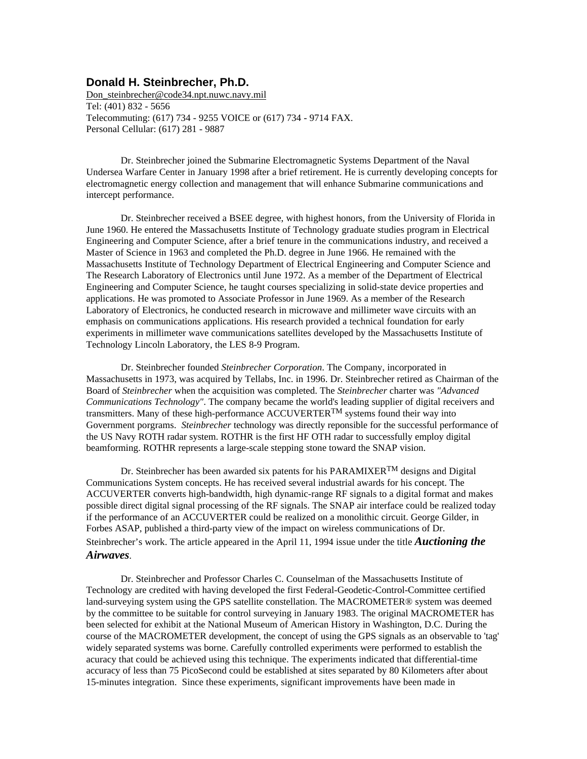## **Donald H. Steinbrecher, Ph.D.**

Don steinbrecher@code34.npt.nuwc.navy.mil Tel: (401) 832 - 5656 Telecommuting: (617) 734 - 9255 VOICE or (617) 734 - 9714 FAX. Personal Cellular: (617) 281 - 9887

Dr. Steinbrecher joined the Submarine Electromagnetic Systems Department of the Naval Undersea Warfare Center in January 1998 after a brief retirement. He is currently developing concepts for electromagnetic energy collection and management that will enhance Submarine communications and intercept performance.

Dr. Steinbrecher received a BSEE degree, with highest honors, from the University of Florida in June 1960. He entered the Massachusetts Institute of Technology graduate studies program in Electrical Engineering and Computer Science, after a brief tenure in the communications industry, and received a Master of Science in 1963 and completed the Ph.D. degree in June 1966. He remained with the Massachusetts Institute of Technology Department of Electrical Engineering and Computer Science and The Research Laboratory of Electronics until June 1972. As a member of the Department of Electrical Engineering and Computer Science, he taught courses specializing in solid-state device properties and applications. He was promoted to Associate Professor in June 1969. As a member of the Research Laboratory of Electronics, he conducted research in microwave and millimeter wave circuits with an emphasis on communications applications. His research provided a technical foundation for early experiments in millimeter wave communications satellites developed by the Massachusetts Institute of Technology Lincoln Laboratory, the LES 8-9 Program.

Dr. Steinbrecher founded *Steinbrecher Corporation*. The Company, incorporated in Massachusetts in 1973, was acquired by Tellabs, Inc. in 1996. Dr. Steinbrecher retired as Chairman of the Board of *Steinbrecher* when the acquisition was completed. The *Steinbrecher* charter was *"Advanced Communications Technology"*. The company became the world's leading supplier of digital receivers and transmitters. Many of these high-performance ACCUVERTER<sup>TM</sup> systems found their way into Government porgrams. *Steinbrecher* technology was directly reponsible for the successful performance of the US Navy ROTH radar system. ROTHR is the first HF OTH radar to successfully employ digital beamforming. ROTHR represents a large-scale stepping stone toward the SNAP vision.

Dr. Steinbrecher has been awarded six patents for his PARAMIXER<sup>TM</sup> designs and Digital Communications System concepts. He has received several industrial awards for his concept. The ACCUVERTER converts high-bandwidth, high dynamic-range RF signals to a digital format and makes possible direct digital signal processing of the RF signals. The SNAP air interface could be realized today if the performance of an ACCUVERTER could be realized on a monolithic circuit. George Gilder, in Forbes ASAP, published a third-party view of the impact on wireless communications of Dr. Steinbrecher's work. The article appeared in the April 11, 1994 issue under the title *Auctioning the Airwaves*.

Dr. Steinbrecher and Professor Charles C. Counselman of the Massachusetts Institute of Technology are credited with having developed the first Federal-Geodetic-Control-Committee certified land-surveying system using the GPS satellite constellation. The MACROMETER® system was deemed by the committee to be suitable for control surveying in January 1983. The original MACROMETER has been selected for exhibit at the National Museum of American History in Washington, D.C. During the course of the MACROMETER development, the concept of using the GPS signals as an observable to 'tag' widely separated systems was borne. Carefully controlled experiments were performed to establish the acuracy that could be achieved using this technique. The experiments indicated that differential-time accuracy of less than 75 PicoSecond could be established at sites separated by 80 Kilometers after about 15-minutes integration. Since these experiments, significant improvements have been made in